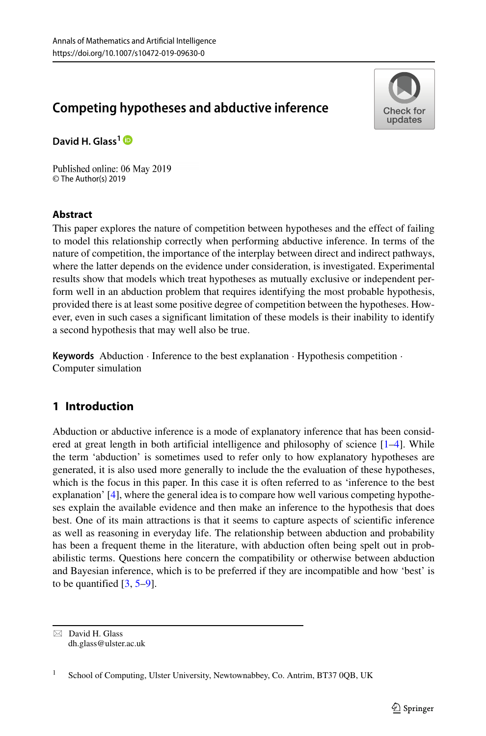# **Competing hypotheses and abductive inference**



**David H. Glass<sup>1</sup>**

Published online: 06 May 2019 © The Author(s) 2019

## **Abstract**

This paper explores the nature of competition between hypotheses and the effect of failing to model this relationship correctly when performing abductive inference. In terms of the nature of competition, the importance of the interplay between direct and indirect pathways, where the latter depends on the evidence under consideration, is investigated. Experimental results show that models which treat hypotheses as mutually exclusive or independent perform well in an abduction problem that requires identifying the most probable hypothesis, provided there is at least some positive degree of competition between the hypotheses. However, even in such cases a significant limitation of these models is their inability to identify a second hypothesis that may well also be true.

**Keywords** Abduction · Inference to the best explanation · Hypothesis competition · Computer simulation

## **1 Introduction**

Abduction or abductive inference is a mode of explanatory inference that has been considered at great length in both artificial intelligence and philosophy of science [\[1–](#page-17-0)[4\]](#page-17-1). While the term 'abduction' is sometimes used to refer only to how explanatory hypotheses are generated, it is also used more generally to include the the evaluation of these hypotheses, which is the focus in this paper. In this case it is often referred to as 'inference to the best explanation' [\[4\]](#page-17-1), where the general idea is to compare how well various competing hypotheses explain the available evidence and then make an inference to the hypothesis that does best. One of its main attractions is that it seems to capture aspects of scientific inference as well as reasoning in everyday life. The relationship between abduction and probability has been a frequent theme in the literature, with abduction often being spelt out in probabilistic terms. Questions here concern the compatibility or otherwise between abduction and Bayesian inference, which is to be preferred if they are incompatible and how 'best' is to be quantified  $[3, 5-9]$  $[3, 5-9]$  $[3, 5-9]$ .

 $\boxtimes$  David H. Glass [dh.glass@ulster.ac.uk](mailto: dh.glass@ulster.ac.uk)

<sup>&</sup>lt;sup>1</sup> School of Computing, Ulster University, Newtownabbey, Co. Antrim, BT37 0QB, UK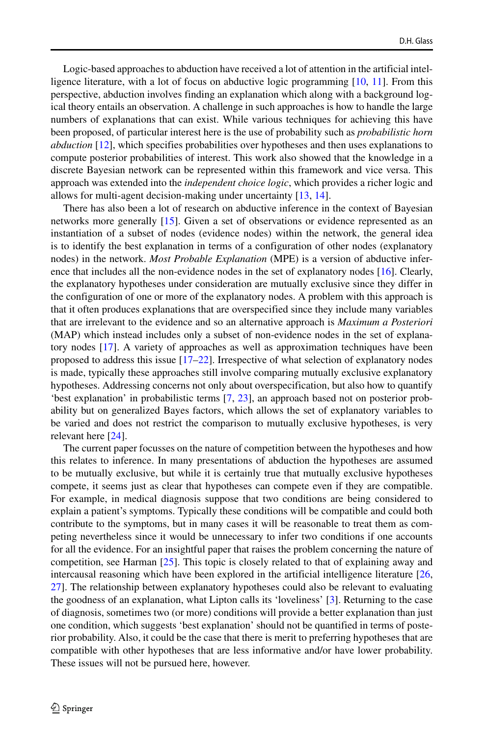Logic-based approaches to abduction have received a lot of attention in the artificial intelligence literature, with a lot of focus on abductive logic programming [\[10,](#page-17-5) [11\]](#page-17-6). From this perspective, abduction involves finding an explanation which along with a background logical theory entails an observation. A challenge in such approaches is how to handle the large numbers of explanations that can exist. While various techniques for achieving this have been proposed, of particular interest here is the use of probability such as *probabilistic horn abduction* [\[12\]](#page-17-7), which specifies probabilities over hypotheses and then uses explanations to compute posterior probabilities of interest. This work also showed that the knowledge in a discrete Bayesian network can be represented within this framework and vice versa. This approach was extended into the *independent choice logic*, which provides a richer logic and allows for multi-agent decision-making under uncertainty [\[13,](#page-17-8) [14\]](#page-17-9).

There has also been a lot of research on abductive inference in the context of Bayesian networks more generally [\[15\]](#page-17-10). Given a set of observations or evidence represented as an instantiation of a subset of nodes (evidence nodes) within the network, the general idea is to identify the best explanation in terms of a configuration of other nodes (explanatory nodes) in the network. *Most Probable Explanation* (MPE) is a version of abductive inference that includes all the non-evidence nodes in the set of explanatory nodes [\[16\]](#page-17-11). Clearly, the explanatory hypotheses under consideration are mutually exclusive since they differ in the configuration of one or more of the explanatory nodes. A problem with this approach is that it often produces explanations that are overspecified since they include many variables that are irrelevant to the evidence and so an alternative approach is *Maximum a Posteriori* (MAP) which instead includes only a subset of non-evidence nodes in the set of explanatory nodes [\[17\]](#page-17-12). A variety of approaches as well as approximation techniques have been proposed to address this issue [\[17](#page-17-12)[–22\]](#page-17-13). Irrespective of what selection of explanatory nodes is made, typically these approaches still involve comparing mutually exclusive explanatory hypotheses. Addressing concerns not only about overspecification, but also how to quantify 'best explanation' in probabilistic terms [\[7,](#page-17-14) [23\]](#page-17-15), an approach based not on posterior probability but on generalized Bayes factors, which allows the set of explanatory variables to be varied and does not restrict the comparison to mutually exclusive hypotheses, is very relevant here [\[24\]](#page-17-16).

The current paper focusses on the nature of competition between the hypotheses and how this relates to inference. In many presentations of abduction the hypotheses are assumed to be mutually exclusive, but while it is certainly true that mutually exclusive hypotheses compete, it seems just as clear that hypotheses can compete even if they are compatible. For example, in medical diagnosis suppose that two conditions are being considered to explain a patient's symptoms. Typically these conditions will be compatible and could both contribute to the symptoms, but in many cases it will be reasonable to treat them as competing nevertheless since it would be unnecessary to infer two conditions if one accounts for all the evidence. For an insightful paper that raises the problem concerning the nature of competition, see Harman [\[25\]](#page-17-17). This topic is closely related to that of explaining away and intercausal reasoning which have been explored in the artificial intelligence literature [\[26,](#page-17-18) [27\]](#page-17-19). The relationship between explanatory hypotheses could also be relevant to evaluating the goodness of an explanation, what Lipton calls its 'loveliness' [\[3\]](#page-17-2). Returning to the case of diagnosis, sometimes two (or more) conditions will provide a better explanation than just one condition, which suggests 'best explanation' should not be quantified in terms of posterior probability. Also, it could be the case that there is merit to preferring hypotheses that are compatible with other hypotheses that are less informative and/or have lower probability. These issues will not be pursued here, however.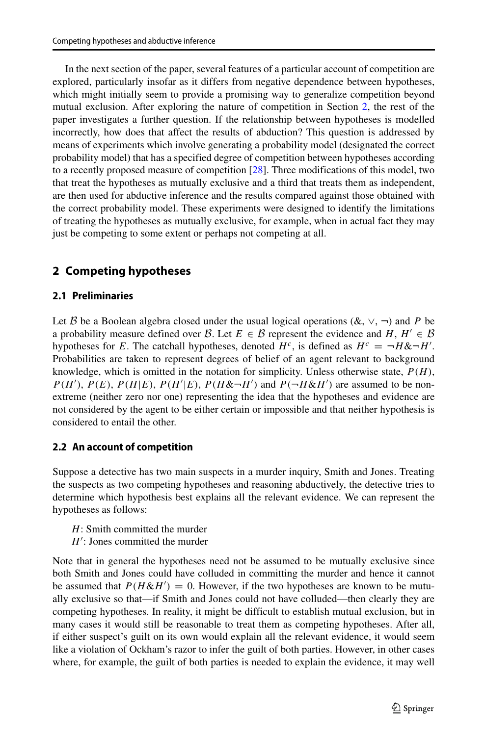In the next section of the paper, several features of a particular account of competition are explored, particularly insofar as it differs from negative dependence between hypotheses, which might initially seem to provide a promising way to generalize competition beyond mutual exclusion. After exploring the nature of competition in Section [2,](#page-2-0) the rest of the paper investigates a further question. If the relationship between hypotheses is modelled incorrectly, how does that affect the results of abduction? This question is addressed by means of experiments which involve generating a probability model (designated the correct probability model) that has a specified degree of competition between hypotheses according to a recently proposed measure of competition [\[28\]](#page-17-20). Three modifications of this model, two that treat the hypotheses as mutually exclusive and a third that treats them as independent, are then used for abductive inference and the results compared against those obtained with the correct probability model. These experiments were designed to identify the limitations of treating the hypotheses as mutually exclusive, for example, when in actual fact they may just be competing to some extent or perhaps not competing at all.

## <span id="page-2-0"></span>**2 Competing hypotheses**

## **2.1 Preliminaries**

Let B be a Boolean algebra closed under the usual logical operations ( $\&$ ,  $\vee$ ,  $\neg$ ) and P be a probability measure defined over B. Let  $E \in \mathcal{B}$  represent the evidence and  $H, H' \in \mathcal{B}$ hypotheses for *E*. The catchall hypotheses, denoted  $H^c$ , is defined as  $H^c = \neg H \& \neg H'$ . Probabilities are taken to represent degrees of belief of an agent relevant to background knowledge, which is omitted in the notation for simplicity. Unless otherwise state, *P (H )*,  $P(H')$ ,  $P(E)$ ,  $P(H|E)$ ,  $P(H'|E)$ ,  $P(H \& \neg H')$  and  $P(\neg H \& H')$  are assumed to be nonextreme (neither zero nor one) representing the idea that the hypotheses and evidence are not considered by the agent to be either certain or impossible and that neither hypothesis is considered to entail the other.

## **2.2 An account of competition**

Suppose a detective has two main suspects in a murder inquiry, Smith and Jones. Treating the suspects as two competing hypotheses and reasoning abductively, the detective tries to determine which hypothesis best explains all the relevant evidence. We can represent the hypotheses as follows:

*H*: Smith committed the murder *H* : Jones committed the murder

Note that in general the hypotheses need not be assumed to be mutually exclusive since both Smith and Jones could have colluded in committing the murder and hence it cannot be assumed that  $P(H \& H') = 0$ . However, if the two hypotheses are known to be mutually exclusive so that—if Smith and Jones could not have colluded—then clearly they are competing hypotheses. In reality, it might be difficult to establish mutual exclusion, but in many cases it would still be reasonable to treat them as competing hypotheses. After all, if either suspect's guilt on its own would explain all the relevant evidence, it would seem like a violation of Ockham's razor to infer the guilt of both parties. However, in other cases where, for example, the guilt of both parties is needed to explain the evidence, it may well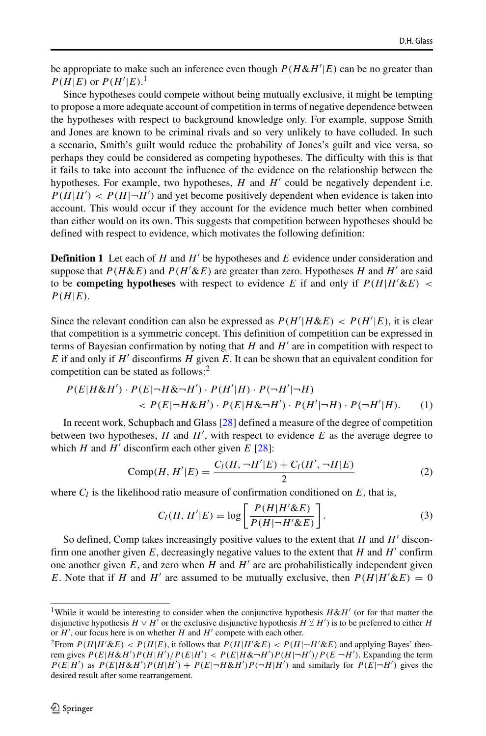be appropriate to make such an inference even though *P (H*&*H* |*E)* can be no greater than  $P(H|E)$  or  $P(H'|E)$ .<sup>[1](#page-3-0)</sup>

Since hypotheses could compete without being mutually exclusive, it might be tempting to propose a more adequate account of competition in terms of negative dependence between the hypotheses with respect to background knowledge only. For example, suppose Smith and Jones are known to be criminal rivals and so very unlikely to have colluded. In such a scenario, Smith's guilt would reduce the probability of Jones's guilt and vice versa, so perhaps they could be considered as competing hypotheses. The difficulty with this is that it fails to take into account the influence of the evidence on the relationship between the hypotheses. For example, two hypotheses,  $H$  and  $H'$  could be negatively dependent i.e.  $P(H|H') < P(H|\neg H')$  and yet become positively dependent when evidence is taken into account. This would occur if they account for the evidence much better when combined than either would on its own. This suggests that competition between hypotheses should be defined with respect to evidence, which motivates the following definition:

**Definition 1** Let each of  $H$  and  $H'$  be hypotheses and  $E$  evidence under consideration and suppose that  $P(H \& E)$  and  $P(H' \& E)$  are greater than zero. Hypotheses *H* and *H'* are said to be **competing hypotheses** with respect to evidence *E* if and only if  $P(H|H' \& E)$  <  $P(H|E)$ .

Since the relevant condition can also be expressed as  $P(H'|H\&E) < P(H'|E)$ , it is clear that competition is a symmetric concept. This definition of competition can be expressed in terms of Bayesian confirmation by noting that  $H$  and  $H'$  are in competition with respect to *E* if and only if *H'* disconfirms *H* given *E*. It can be shown that an equivalent condition for competition can be stated as follows:[2](#page-3-1)

<span id="page-3-2"></span>
$$
P(E|H\&H') \cdot P(E|\neg H\&\neg H') \cdot P(H'|H) \cdot P(\neg H'|\neg H)
$$
  
< 
$$
< P(E|\neg H\&H') \cdot P(E|H\&\neg H') \cdot P(H'|\neg H) \cdot P(\neg H'|H).
$$
 (1)

In recent work, Schupbach and Glass [\[28\]](#page-17-20) defined a measure of the degree of competition between two hypotheses, *H* and *H* , with respect to evidence *E* as the average degree to which *H* and *H'* disconfirm each other given *E* [\[28\]](#page-17-20):

Comp(H, H'|E) = 
$$
\frac{C_l(H, \neg H'|E) + C_l(H', \neg H|E)}{2}
$$
 (2)

where  $C_l$  is the likelihood ratio measure of confirmation conditioned on  $E$ , that is,

$$
C_l(H, H'|E) = \log \left[ \frac{P(H|H'\&E)}{P(H|\neg H'\&E)} \right].
$$
\n(3)

So defined, Comp takes increasingly positive values to the extent that  $H$  and  $H'$  disconfirm one another given  $E$ , decreasingly negative values to the extent that  $H$  and  $H'$  confirm one another given  $E$ , and zero when  $H$  and  $H'$  are are probabilistically independent given *E*. Note that if *H* and *H'* are assumed to be mutually exclusive, then  $P(H|H' \& E) = 0$ 

<span id="page-3-0"></span><sup>&</sup>lt;sup>1</sup>While it would be interesting to consider when the conjunctive hypothesis  $H \& H'$  (or for that matter the disjunctive hypothesis  $H \vee H'$  or the exclusive disjunctive hypothesis  $H \vee H'$  is to be preferred to either *H* or  $H'$ , our focus here is on whether  $H$  and  $H'$  compete with each other.

<span id="page-3-1"></span> $^2$ From  $P(H|H' \& E) < P(H|E)$ , it follows that  $P(H|H' \& E) < P(H|\neg H' \& E)$  and applying Bayes' theorem gives  $P(E|H \& H')P(H|H')/P(E|H') < P(E|H \& \neg H')P(H|\neg H')/P(E|\neg H')$ . Expanding the term  $P(E|H')$  as  $P(E|H\&H')P(H|H') + P(E|\neg H\&H')P(\neg H|H')$  and similarly for  $P(E|\neg H')$  gives the desired result after some rearrangement.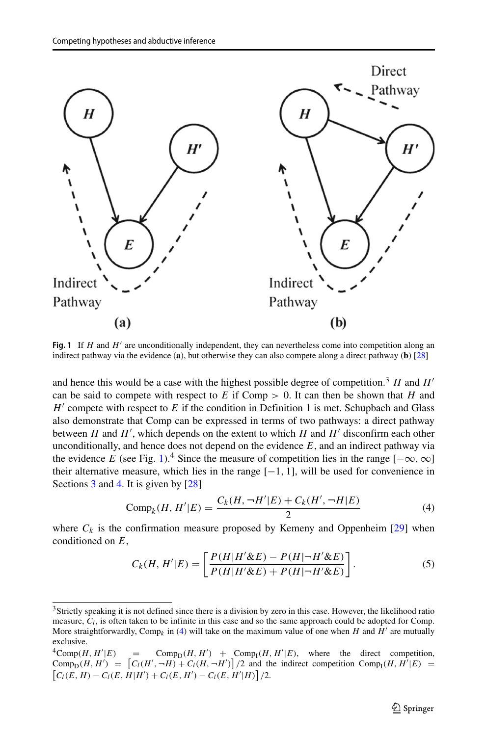<span id="page-4-1"></span>

**Fig. 1** If *H* and *H'* are unconditionally independent, they can nevertheless come into competition along an indirect pathway via the evidence (**a**), but otherwise they can also compete along a direct pathway (**b**) [\[28\]](#page-17-20)

and hence this would be a case with the highest possible degree of competition.<sup>[3](#page-4-0)</sup> *H* and  $H'$ can be said to compete with respect to  $E$  if Comp  $> 0$ . It can then be shown that  $H$  and  $H'$  compete with respect to  $E$  if the condition in Definition 1 is met. Schupbach and Glass also demonstrate that Comp can be expressed in terms of two pathways: a direct pathway between  $H$  and  $H'$ , which depends on the extent to which  $H$  and  $H'$  disconfirm each other unconditionally, and hence does not depend on the evidence *E*, and an indirect pathway via the evidence *E* (see Fig. [1\)](#page-4-1).<sup>4</sup> Since the measure of competition lies in the range  $[-\infty, \infty]$ their alternative measure, which lies in the range [−1*,* 1], will be used for convenience in Sections [3](#page-8-0) and [4.](#page-13-0) It is given by [\[28\]](#page-17-20)

<span id="page-4-3"></span>Comp<sub>k</sub>(H, H'|E) = 
$$
\frac{C_k(H, \neg H'|E) + C_k(H', \neg H|E)}{2}
$$
 (4)

where  $C_k$  is the confirmation measure proposed by Kemeny and Oppenheim [\[29\]](#page-17-21) when conditioned on *E*,

$$
C_k(H, H'|E) = \left[ \frac{P(H|H'\&E) - P(H|\neg H'\&E)}{P(H|H'\&E) + P(H|\neg H'\&E)} \right].
$$
\n<sup>(5)</sup>

<span id="page-4-0"></span><sup>3</sup>Strictly speaking it is not defined since there is a division by zero in this case. However, the likelihood ratio measure,  $C_l$ , is often taken to be infinite in this case and so the same approach could be adopted for Comp. More straightforwardly, Comp<sub>k</sub> in [\(4\)](#page-4-3) will take on the maximum value of one when *H* and *H'* are mutually exclusive.

<span id="page-4-2"></span> ${}^4$ Comp $(H, H'|E)$  $|E|$  = Comp<sub>D</sub> $(H, H')$  + Comp<sub>I</sub> $(H, H'|E)$ , where the direct competition,  $\text{Comp}_{D}(H, H') = [C_l(H', \neg H) + C_l(H, \neg H')] / 2$  and the indirect competition  $\text{Comp}_I(H, H'|E) = [C_l(E, H) - C_l(E, H|H') + C_l(E, H') - C_l(E, H'|H)] / 2$ .  $C_l(E, H) - C_l(E, H|H') + C_l(E, H') - C_l(E, H'|H)$  /2.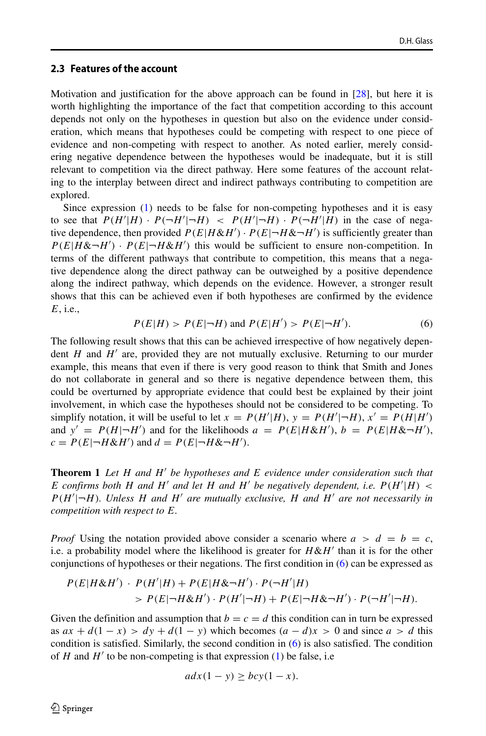#### **2.3 Features of the account**

Motivation and justification for the above approach can be found in [\[28\]](#page-17-20), but here it is worth highlighting the importance of the fact that competition according to this account depends not only on the hypotheses in question but also on the evidence under consideration, which means that hypotheses could be competing with respect to one piece of evidence and non-competing with respect to another. As noted earlier, merely considering negative dependence between the hypotheses would be inadequate, but it is still relevant to competition via the direct pathway. Here some features of the account relating to the interplay between direct and indirect pathways contributing to competition are explored.

Since expression [\(1\)](#page-3-2) needs to be false for non-competing hypotheses and it is easy to see that  $P(H'|H) \cdot P(\neg H'|\neg H) \leq P(H'|\neg H) \cdot P(\neg H' | H)$  in the case of negative dependence, then provided  $P(E|H \& H') \cdot P(E|\neg H \& \neg H')$  is sufficiently greater than  $P(E|H\&\rightarrow H')$  ·  $P(E|\rightarrow H\&H')$  this would be sufficient to ensure non-competition. In terms of the different pathways that contribute to competition, this means that a negative dependence along the direct pathway can be outweighed by a positive dependence along the indirect pathway, which depends on the evidence. However, a stronger result shows that this can be achieved even if both hypotheses are confirmed by the evidence *E*, i.e.,

<span id="page-5-0"></span>
$$
P(E|H) > P(E|\neg H) \text{ and } P(E|H') > P(E|\neg H'). \tag{6}
$$

The following result shows that this can be achieved irrespective of how negatively dependent *H* and *H'* are, provided they are not mutually exclusive. Returning to our murder example, this means that even if there is very good reason to think that Smith and Jones do not collaborate in general and so there is negative dependence between them, this could be overturned by appropriate evidence that could best be explained by their joint involvement, in which case the hypotheses should not be considered to be competing. To simplify notation, it will be useful to let  $x = P(H'|H)$ ,  $y = P(H'|H)$ ,  $x' = P(H|H')$ and  $y' = P(H|\neg H')$  and for the likelihoods  $a = P(E|H\&H')$ ,  $b = P(E|H\&\neg H')$ ,  $c = P(E|\neg H \& H')$  and  $d = P(E|\neg H \& \neg H')$ .

**Theorem 1** *Let H and H be hypotheses and E evidence under consideration such that E confirms both H and H' and let H and H' be negatively dependent, <i>i.e.*  $P(H'|H)$  < *P (H* |¬*H ). Unless H and H are mutually exclusive, H and H are not necessarily in competition with respect to E.*

*Proof* Using the notation provided above consider a scenario where  $a > d = b = c$ , i.e. a probability model where the likelihood is greater for  $H \& H'$  than it is for the other conjunctions of hypotheses or their negations. The first condition in [\(6\)](#page-5-0) can be expressed as

$$
P(E|H\&H') \cdot P(H'|H) + P(E|H\&\neg H') \cdot P(\neg H'|H)
$$
  
> 
$$
P(E|\neg H\&H') \cdot P(H'|\neg H) + P(E|\neg H\&\neg H') \cdot P(\neg H'|\neg H).
$$

Given the definition and assumption that  $b = c = d$  this condition can in turn be expressed as  $ax + d(1 - x) > dy + d(1 - y)$  which becomes  $(a - d)x > 0$  and since  $a > d$  this condition is satisfied. Similarly, the second condition in  $(6)$  is also satisfied. The condition of  $H$  and  $H'$  to be non-competing is that expression  $(1)$  be false, i.e

$$
adx(1 - y) \geq bcy(1 - x).
$$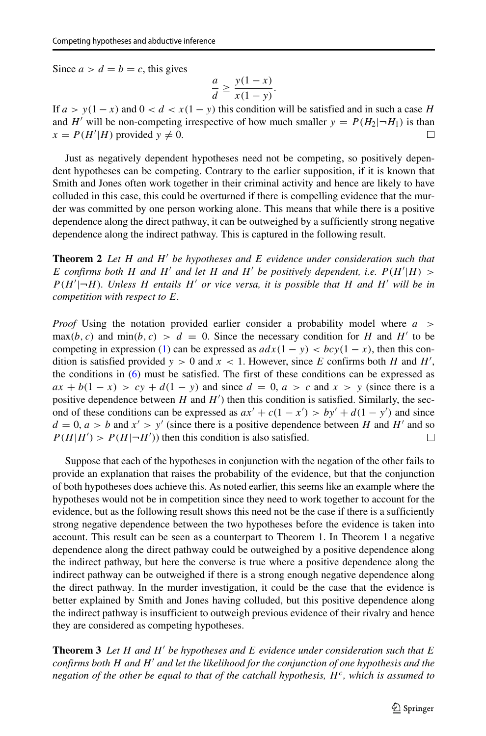Since  $a > d = b = c$ , this gives

$$
\frac{a}{d} \ge \frac{y(1-x)}{x(1-y)}.
$$

If  $a > y(1-x)$  and  $0 < d < x(1-y)$  this condition will be satisfied and in such a case *H* and *H'* will be non-competing irrespective of how much smaller  $y = P(H_2|\neg H_1)$  is than  $x = P(H'|H)$  provided  $y \neq 0$ .  $x = P(H'|H)$  provided  $y \neq 0$ .

Just as negatively dependent hypotheses need not be competing, so positively dependent hypotheses can be competing. Contrary to the earlier supposition, if it is known that Smith and Jones often work together in their criminal activity and hence are likely to have colluded in this case, this could be overturned if there is compelling evidence that the murder was committed by one person working alone. This means that while there is a positive dependence along the direct pathway, it can be outweighed by a sufficiently strong negative dependence along the indirect pathway. This is captured in the following result.

**Theorem 2** *Let H and H be hypotheses and E evidence under consideration such that E confirms both H and H and let H and H be positively dependent, i.e. P (H* |*H) >*  $P(H'|\neg H)$ *. Unless H entails H' or vice versa, it is possible that H and H' will be in competition with respect to E.*

*Proof* Using the notation provided earlier consider a probability model where *a >*  $max(b, c)$  and  $min(b, c) > d = 0$ . Since the necessary condition for *H* and *H'* to be competing in expression [\(1\)](#page-3-2) can be expressed as  $adx(1 - y) < bcy(1 - x)$ , then this condition is satisfied provided  $y > 0$  and  $x < 1$ . However, since E confirms both H and H', the conditions in [\(6\)](#page-5-0) must be satisfied. The first of these conditions can be expressed as  $ax + b(1 - x) > cy + d(1 - y)$  and since  $d = 0$ ,  $a > c$  and  $x > y$  (since there is a positive dependence between *H* and *H* ) then this condition is satisfied. Similarly, the second of these conditions can be expressed as  $ax' + c(1 - x') > by' + d(1 - y')$  and since  $d = 0$ ,  $a > b$  and  $x' > y'$  (since there is a positive dependence between *H* and *H'* and so  $P(H|H') > P(H|\neg H')$ ) then this condition is also satisfied.  $P(H|H') > P(H|\neg H')$  then this condition is also satisfied.

Suppose that each of the hypotheses in conjunction with the negation of the other fails to provide an explanation that raises the probability of the evidence, but that the conjunction of both hypotheses does achieve this. As noted earlier, this seems like an example where the hypotheses would not be in competition since they need to work together to account for the evidence, but as the following result shows this need not be the case if there is a sufficiently strong negative dependence between the two hypotheses before the evidence is taken into account. This result can be seen as a counterpart to Theorem 1. In Theorem 1 a negative dependence along the direct pathway could be outweighed by a positive dependence along the indirect pathway, but here the converse is true where a positive dependence along the indirect pathway can be outweighed if there is a strong enough negative dependence along the direct pathway. In the murder investigation, it could be the case that the evidence is better explained by Smith and Jones having colluded, but this positive dependence along the indirect pathway is insufficient to outweigh previous evidence of their rivalry and hence they are considered as competing hypotheses.

**Theorem 3** *Let H and H be hypotheses and E evidence under consideration such that E confirms both H and H and let the likelihood for the conjunction of one hypothesis and the negation of the other be equal to that of the catchall hypothesis, Hc, which is assumed to*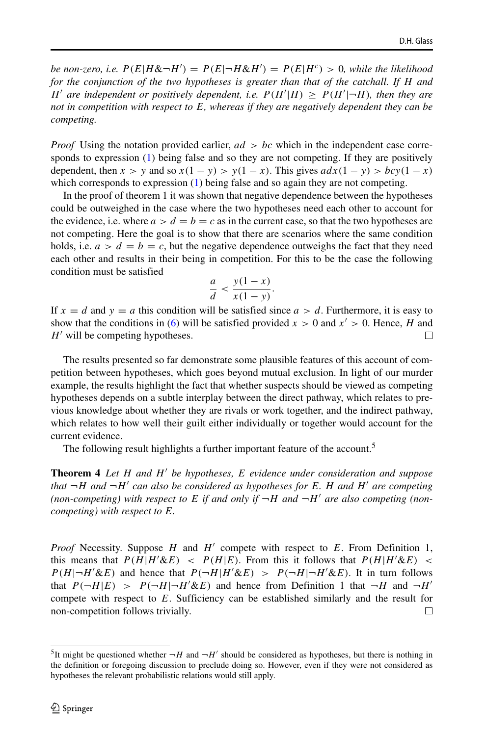*be non-zero, i.e.*  $P(E|H\&\neg H') = P(E|\neg H\&H') = P(E|H^c) > 0$ *, while the likelihood for the conjunction of the two hypotheses is greater than that of the catchall. If H and H'* are independent or positively dependent, i.e.  $P(H'|H) \geq P(H'|{\neg H})$ , then they are *not in competition with respect to E, whereas if they are negatively dependent they can be competing.*

*Proof* Using the notation provided earlier, *ad > bc* which in the independent case corresponds to expression [\(1\)](#page-3-2) being false and so they are not competing. If they are positively dependent, then  $x > y$  and so  $x(1 - y) > y(1 - x)$ . This gives  $adx(1 - y) > bcy(1 - x)$ which corresponds to expression [\(1\)](#page-3-2) being false and so again they are not competing.

In the proof of theorem 1 it was shown that negative dependence between the hypotheses could be outweighed in the case where the two hypotheses need each other to account for the evidence, i.e. where  $a > d = b = c$  as in the current case, so that the two hypotheses are not competing. Here the goal is to show that there are scenarios where the same condition holds, i.e.  $a > d = b = c$ , but the negative dependence outweighs the fact that they need each other and results in their being in competition. For this to be the case the following condition must be satisfied *<sup>a</sup>*

$$
\frac{a}{d} < \frac{y(1-x)}{x(1-y)}.
$$

If  $x = d$  and  $y = a$  this condition will be satisfied since  $a > d$ . Furthermore, it is easy to show that the conditions in [\(6\)](#page-5-0) will be satisfied provided  $x > 0$  and  $x' > 0$ . Hence, *H* and  $H'$  will be competing hypotheses.  $\Box$ 

The results presented so far demonstrate some plausible features of this account of competition between hypotheses, which goes beyond mutual exclusion. In light of our murder example, the results highlight the fact that whether suspects should be viewed as competing hypotheses depends on a subtle interplay between the direct pathway, which relates to previous knowledge about whether they are rivals or work together, and the indirect pathway, which relates to how well their guilt either individually or together would account for the current evidence.

The following result highlights a further important feature of the account.<sup>5</sup>

**Theorem 4** *Let H and H be hypotheses, E evidence under consideration and suppose that*  $\neg H$  *and*  $\neg H'$  *can also be considered as hypotheses for E. H and H' are competing (non-competing) with respect to*  $E$  *if and only if*  $\neg H$  *and*  $\neg H'$  *are also competing (noncompeting) with respect to E.*

*Proof* Necessity. Suppose *H* and *H'* compete with respect to *E*. From Definition 1, this means that  $P(H|H' \& E)$  <  $P(H|E)$ . From this it follows that  $P(H|H' \& E)$  <  $P(H|\neg H' \& E)$  and hence that  $P(\neg H | H' \& E) > P(\neg H | \neg H' \& E)$ . It in turn follows that  $P(\neg H | E) > P(\neg H | \neg H' \& E)$  and hence from Definition 1 that  $\neg H$  and  $\neg H'$ compete with respect to *E*. Sufficiency can be established similarly and the result for non-competition follows trivially.  $\Box$ 

<span id="page-7-0"></span><sup>&</sup>lt;sup>5</sup>It might be questioned whether  $\neg H$  and  $\neg H'$  should be considered as hypotheses, but there is nothing in the definition or foregoing discussion to preclude doing so. However, even if they were not considered as hypotheses the relevant probabilistic relations would still apply.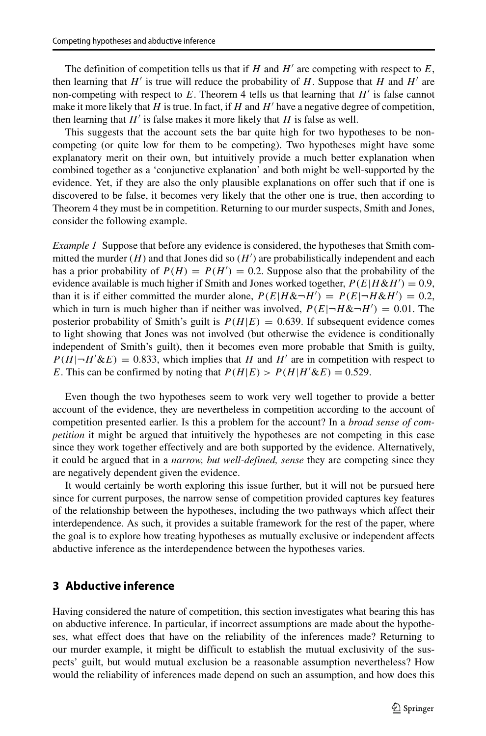The definition of competition tells us that if *H* and *H'* are competing with respect to  $E$ , then learning that  $H'$  is true will reduce the probability of  $H$ . Suppose that  $H$  and  $H'$  are non-competing with respect to  $E$ . Theorem 4 tells us that learning that  $H'$  is false cannot make it more likely that *H* is true. In fact, if *H* and *H'* have a negative degree of competition, then learning that  $H'$  is false makes it more likely that  $H$  is false as well.

This suggests that the account sets the bar quite high for two hypotheses to be noncompeting (or quite low for them to be competing). Two hypotheses might have some explanatory merit on their own, but intuitively provide a much better explanation when combined together as a 'conjunctive explanation' and both might be well-supported by the evidence. Yet, if they are also the only plausible explanations on offer such that if one is discovered to be false, it becomes very likely that the other one is true, then according to Theorem 4 they must be in competition. Returning to our murder suspects, Smith and Jones, consider the following example.

*Example 1* Suppose that before any evidence is considered, the hypotheses that Smith committed the murder  $(H)$  and that Jones did so  $(H')$  are probabilistically independent and each has a prior probability of  $P(H) = P(H') = 0.2$ . Suppose also that the probability of the evidence available is much higher if Smith and Jones worked together,  $P(E|H \& H') = 0.9$ , than it is if either committed the murder alone,  $P(E|H\&\neg H') = P(E|\neg H\&H') = 0.2$ , which in turn is much higher than if neither was involved,  $P(E|\neg H\& \neg H') = 0.01$ . The posterior probability of Smith's guilt is  $P(H|E) = 0.639$ . If subsequent evidence comes to light showing that Jones was not involved (but otherwise the evidence is conditionally independent of Smith's guilt), then it becomes even more probable that Smith is guilty,  $P(H|\neg H' \& E) = 0.833$ , which implies that *H* and *H'* are in competition with respect to *E*. This can be confirmed by noting that  $P(H|E) > P(H|H' \& E) = 0.529$ .

Even though the two hypotheses seem to work very well together to provide a better account of the evidence, they are nevertheless in competition according to the account of competition presented earlier. Is this a problem for the account? In a *broad sense of competition* it might be argued that intuitively the hypotheses are not competing in this case since they work together effectively and are both supported by the evidence. Alternatively, it could be argued that in a *narrow, but well-defined, sense* they are competing since they are negatively dependent given the evidence.

It would certainly be worth exploring this issue further, but it will not be pursued here since for current purposes, the narrow sense of competition provided captures key features of the relationship between the hypotheses, including the two pathways which affect their interdependence. As such, it provides a suitable framework for the rest of the paper, where the goal is to explore how treating hypotheses as mutually exclusive or independent affects abductive inference as the interdependence between the hypotheses varies.

### <span id="page-8-0"></span>**3 Abductive inference**

Having considered the nature of competition, this section investigates what bearing this has on abductive inference. In particular, if incorrect assumptions are made about the hypotheses, what effect does that have on the reliability of the inferences made? Returning to our murder example, it might be difficult to establish the mutual exclusivity of the suspects' guilt, but would mutual exclusion be a reasonable assumption nevertheless? How would the reliability of inferences made depend on such an assumption, and how does this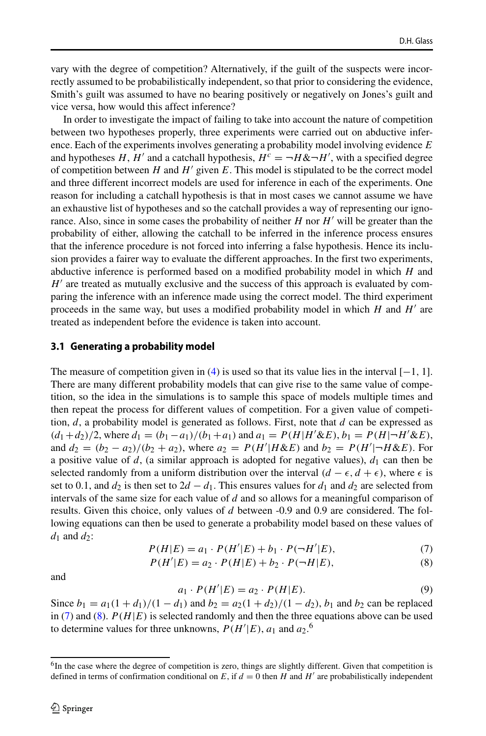vary with the degree of competition? Alternatively, if the guilt of the suspects were incorrectly assumed to be probabilistically independent, so that prior to considering the evidence, Smith's guilt was assumed to have no bearing positively or negatively on Jones's guilt and vice versa, how would this affect inference?

In order to investigate the impact of failing to take into account the nature of competition between two hypotheses properly, three experiments were carried out on abductive inference. Each of the experiments involves generating a probability model involving evidence *E* and hypotheses *H*, *H'* and a catchall hypothesis,  $H^c = \neg H \& \neg H'$ , with a specified degree of competition between  $H$  and  $H'$  given  $E$ . This model is stipulated to be the correct model and three different incorrect models are used for inference in each of the experiments. One reason for including a catchall hypothesis is that in most cases we cannot assume we have an exhaustive list of hypotheses and so the catchall provides a way of representing our ignorance. Also, since in some cases the probability of neither *H* nor  $H'$  will be greater than the probability of either, allowing the catchall to be inferred in the inference process ensures that the inference procedure is not forced into inferring a false hypothesis. Hence its inclusion provides a fairer way to evaluate the different approaches. In the first two experiments, abductive inference is performed based on a modified probability model in which *H* and  $H'$  are treated as mutually exclusive and the success of this approach is evaluated by comparing the inference with an inference made using the correct model. The third experiment proceeds in the same way, but uses a modified probability model in which  $H$  and  $H'$  are treated as independent before the evidence is taken into account.

#### **3.1 Generating a probability model**

The measure of competition given in [\(4\)](#page-4-3) is used so that its value lies in the interval [−1*,* 1]. There are many different probability models that can give rise to the same value of competition, so the idea in the simulations is to sample this space of models multiple times and then repeat the process for different values of competition. For a given value of competition, *d*, a probability model is generated as follows. First, note that *d* can be expressed as *(d*<sub>1</sub> +*d*<sub>2</sub>)/2, where *d*<sub>1</sub> =  $(b_1 - a_1)/(b_1 + a_1)$  and *a*<sub>1</sub> =  $P(H|H' \& E)$ , *b*<sub>1</sub> =  $P(H|\neg H' \& E)$ , and  $d_2 = (b_2 - a_2)/(b_2 + a_2)$ , where  $a_2 = P(H'|H \& E)$  and  $b_2 = P(H'| \neg H \& E)$ . For a positive value of  $d$ , (a similar approach is adopted for negative values),  $d_1$  can then be selected randomly from a uniform distribution over the interval  $(d - \epsilon, d + \epsilon)$ , where  $\epsilon$  is set to 0.1, and  $d_2$  is then set to  $2d - d_1$ . This ensures values for  $d_1$  and  $d_2$  are selected from intervals of the same size for each value of *d* and so allows for a meaningful comparison of results. Given this choice, only values of *d* between -0.9 and 0.9 are considered. The following equations can then be used to generate a probability model based on these values of  $d_1$  and  $d_2$ :

<span id="page-9-0"></span>
$$
P(H|E) = a_1 \cdot P(H'|E) + b_1 \cdot P(\neg H'|E),\tag{7}
$$

<span id="page-9-1"></span>
$$
P(H'|E) = a_2 \cdot P(H|E) + b_2 \cdot P(\neg H|E),\tag{8}
$$

and

$$
a_1 \cdot P(H'|E) = a_2 \cdot P(H|E). \tag{9}
$$

Since  $b_1 = a_1(1 + d_1)/(1 - d_1)$  and  $b_2 = a_2(1 + d_2)/(1 - d_2)$ ,  $b_1$  and  $b_2$  can be replaced in [\(7\)](#page-9-0) and [\(8\)](#page-9-1).  $P(H|E)$  is selected randomly and then the three equations above can be used to determine values for three unknowns,  $P(H'|E)$ ,  $a_1$  and  $a_2$ .<sup>[6](#page-9-2)</sup>

<span id="page-9-2"></span><sup>&</sup>lt;sup>6</sup>In the case where the degree of competition is zero, things are slightly different. Given that competition is defined in terms of confirmation conditional on  $E$ , if  $d = 0$  then  $H$  and  $H'$  are probabilistically independent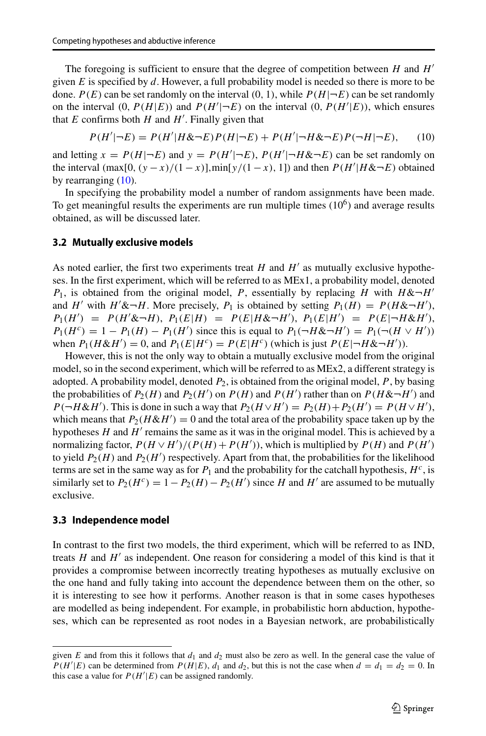The foregoing is sufficient to ensure that the degree of competition between *H* and *H* given *E* is specified by *d*. However, a full probability model is needed so there is more to be done.  $P(E)$  can be set randomly on the interval  $(0, 1)$ , while  $P(H|\neg E)$  can be set randomly on the interval  $(0, P(H|E))$  and  $P(H'|\neg E)$  on the interval  $(0, P(H'|E))$ , which ensures that  $E$  confirms both  $H$  and  $H'$ . Finally given that

<span id="page-10-0"></span>
$$
P(H'|\neg E) = P(H'|H\&\neg E)P(H|\neg E) + P(H'|\neg H\&\neg E)P(\neg H|\neg E),\tag{10}
$$

and letting  $x = P(H|\neg E)$  and  $y = P(H'|\neg E)$ ,  $P(H'|\neg H \& \neg E)$  can be set randomly on *the interval*  $(\text{max}[0, (y - x)/(1 - x)]$ *, min[y/(1−x), 1]) and then*  $P(H'|H&\rightarrow E)$  *obtained* by rearranging  $(10)$ .

In specifying the probability model a number of random assignments have been made. To get meaningful results the experiments are run multiple times  $(10<sup>6</sup>)$  and average results obtained, as will be discussed later.

#### **3.2 Mutually exclusive models**

As noted earlier, the first two experiments treat  $H$  and  $H'$  as mutually exclusive hypotheses. In the first experiment, which will be referred to as MEx1, a probability model, denoted  $P_1$ , is obtained from the original model, *P*, essentially by replacing *H* with  $H\&\neg H'$ and *H'* with *H'*& $\neg$ *H*. More precisely, *P*<sub>1</sub> is obtained by setting *P*<sub>1</sub>(*H*) = *P*(*H*& $\neg$ *H'*),  $P_1(H') = P(H' \& \neg H), P_1(E|H) = P(E|H \& \neg H'), P_1(E|H') = P(E|\neg H \& H'),$  $P_1(H^c) = 1 - P_1(H) - P_1(H')$  since this is equal to  $P_1(\neg H \& \neg H') = P_1(\neg (H \lor H'))$ when  $P_1(H \& H') = 0$ , and  $P_1(E|H^c) = P(E|H^c)$  (which is just  $P(E|\neg H \& \neg H')$ ).

However, this is not the only way to obtain a mutually exclusive model from the original model, so in the second experiment, which will be referred to as MEx2, a different strategy is adopted. A probability model, denoted *P*2, is obtained from the original model, *P*, by basing the probabilities of  $P_2(H)$  and  $P_2(H')$  on  $P(H)$  and  $P(H')$  rather than on  $P(H \& \neg H')$  and  $P(\neg H \& H')$ . This is done in such a way that  $P_2(H \lor H') = P_2(H) + P_2(H') = P(H \lor H')$ , which means that  $P_2(H \& H') = 0$  and the total area of the probability space taken up by the hypotheses  $H$  and  $H'$  remains the same as it was in the original model. This is achieved by a normalizing factor,  $P(H \vee H')/(P(H) + P(H'))$ , which is multiplied by  $P(H)$  and  $P(H')$ to yield  $P_2(H)$  and  $P_2(H')$  respectively. Apart from that, the probabilities for the likelihood terms are set in the same way as for  $P_1$  and the probability for the catchall hypothesis,  $H^c$ , is similarly set to  $P_2(H^c) = 1 - P_2(H) - P_2(H')$  since *H* and *H'* are assumed to be mutually exclusive.

#### **3.3 Independence model**

In contrast to the first two models, the third experiment, which will be referred to as IND, treats  $H$  and  $H'$  as independent. One reason for considering a model of this kind is that it provides a compromise between incorrectly treating hypotheses as mutually exclusive on the one hand and fully taking into account the dependence between them on the other, so it is interesting to see how it performs. Another reason is that in some cases hypotheses are modelled as being independent. For example, in probabilistic horn abduction, hypotheses, which can be represented as root nodes in a Bayesian network, are probabilistically

given  $E$  and from this it follows that  $d_1$  and  $d_2$  must also be zero as well. In the general case the value of  $P(H'|E)$  can be determined from  $P(H|E)$ ,  $d_1$  and  $d_2$ , but this is not the case when  $d = d_1 = d_2 = 0$ . In this case a value for  $P(H'|E)$  can be assigned randomly.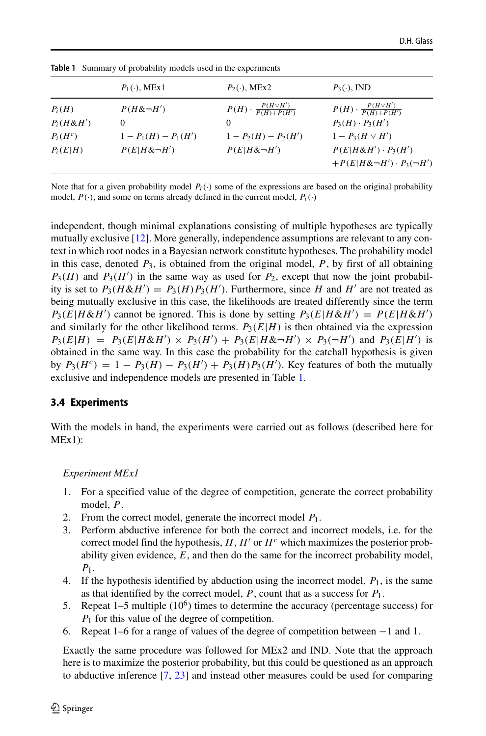|                | $P_1(\cdot)$ , MEx1    | $P_2(\cdot)$ , MEx2                            | $P_3(\cdot)$ , IND                                                |
|----------------|------------------------|------------------------------------------------|-------------------------------------------------------------------|
| $P_i(H)$       | $P(H&\neg H')$         | $P(H) \cdot \frac{P(H \vee H')}{P(H) + P(H')}$ | $P(H) \cdot \frac{P(H \vee H')}{P(H) + P(H')}$                    |
| $P_i(H \& H')$ | $^{(1)}$               | $\Omega$                                       | $P_3(H) \cdot P_3(H')$                                            |
| $P_i(H^c)$     | $1 - P_1(H) - P_1(H')$ | $1 - P_2(H) - P_2(H')$                         | $1 - P_3(H \vee H')$                                              |
| $P_i(E H)$     | $P(E H&\neg H')$       | $P(E H&\neg H')$                               | $P(E H\&H')\cdot P_3(H')$<br>$+P(E H\&\neg H')\cdot P_3(\neg H')$ |

<span id="page-11-0"></span>**Table 1** Summary of probability models used in the experiments

Note that for a given probability model  $P_i(\cdot)$  some of the expressions are based on the original probability model,  $P(\cdot)$ , and some on terms already defined in the current model,  $P_i(\cdot)$ 

independent, though minimal explanations consisting of multiple hypotheses are typically mutually exclusive [\[12\]](#page-17-7). More generally, independence assumptions are relevant to any context in which root nodes in a Bayesian network constitute hypotheses. The probability model in this case, denoted  $P_3$ , is obtained from the original model,  $P$ , by first of all obtaining  $P_3(H)$  and  $P_3(H')$  in the same way as used for  $P_2$ , except that now the joint probability is set to  $P_3(H \& H') = P_3(H)P_3(H')$ . Furthermore, since *H* and *H'* are not treated as being mutually exclusive in this case, the likelihoods are treated differently since the term  $P_3(E|H \& H')$  cannot be ignored. This is done by setting  $P_3(E|H \& H') = P(E|H \& H')$ and similarly for the other likelihood terms.  $P_3(E|H)$  is then obtained via the expression  $P_3(E|H) = P_3(E|H\&H') \times P_3(H') + P_3(E|H\&\neg H') \times P_3(\neg H')$  and  $P_3(E|H')$  is obtained in the same way. In this case the probability for the catchall hypothesis is given by  $P_3(H^c) = 1 - P_3(H) - P_3(H') + P_3(H)P_3(H')$ . Key features of both the mutually exclusive and independence models are presented in Table [1.](#page-11-0)

#### **3.4 Experiments**

With the models in hand, the experiments were carried out as follows (described here for MEx1):

#### *Experiment MEx1*

- 1. For a specified value of the degree of competition, generate the correct probability model, *P*.
- 2. From the correct model, generate the incorrect model *P*1.
- 3. Perform abductive inference for both the correct and incorrect models, i.e. for the correct model find the hypothesis,  $H$ ,  $H'$  or  $H<sup>c</sup>$  which maximizes the posterior probability given evidence, *E*, and then do the same for the incorrect probability model, *P*1.
- 4. If the hypothesis identified by abduction using the incorrect model, *P*1, is the same as that identified by the correct model, *P*, count that as a success for *P*1.
- 5. Repeat  $1-5$  multiple  $(10<sup>6</sup>)$  times to determine the accuracy (percentage success) for *P*<sub>1</sub> for this value of the degree of competition.
- 6. Repeat 1–6 for a range of values of the degree of competition between −1 and 1.

Exactly the same procedure was followed for MEx2 and IND. Note that the approach here is to maximize the posterior probability, but this could be questioned as an approach to abductive inference [\[7,](#page-17-14) [23\]](#page-17-15) and instead other measures could be used for comparing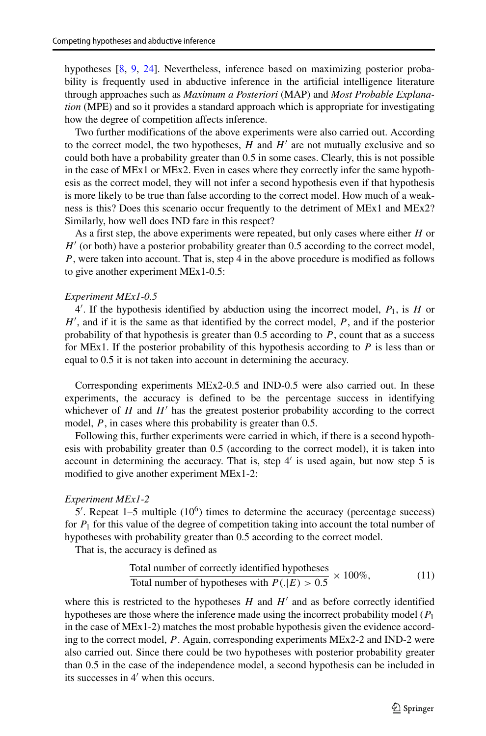hypotheses [\[8,](#page-17-22) [9,](#page-17-4) [24\]](#page-17-16). Nevertheless, inference based on maximizing posterior probability is frequently used in abductive inference in the artificial intelligence literature through approaches such as *Maximum a Posteriori* (MAP) and *Most Probable Explanation* (MPE) and so it provides a standard approach which is appropriate for investigating how the degree of competition affects inference.

Two further modifications of the above experiments were also carried out. According to the correct model, the two hypotheses,  $H$  and  $H'$  are not mutually exclusive and so could both have a probability greater than 0.5 in some cases. Clearly, this is not possible in the case of MEx1 or MEx2. Even in cases where they correctly infer the same hypothesis as the correct model, they will not infer a second hypothesis even if that hypothesis is more likely to be true than false according to the correct model. How much of a weakness is this? Does this scenario occur frequently to the detriment of MEx1 and MEx2? Similarly, how well does IND fare in this respect?

As a first step, the above experiments were repeated, but only cases where either *H* or *H'* (or both) have a posterior probability greater than 0.5 according to the correct model, *P*, were taken into account. That is, step 4 in the above procedure is modified as follows to give another experiment MEx1-0.5:

#### *Experiment MEx1-0.5*

4 . If the hypothesis identified by abduction using the incorrect model, *P*1, is *H* or *H* , and if it is the same as that identified by the correct model, *P*, and if the posterior probability of that hypothesis is greater than 0.5 according to *P*, count that as a success for MEx1. If the posterior probability of this hypothesis according to *P* is less than or equal to 0.5 it is not taken into account in determining the accuracy.

Corresponding experiments MEx2-0.5 and IND-0.5 were also carried out. In these experiments, the accuracy is defined to be the percentage success in identifying whichever of  $H$  and  $H'$  has the greatest posterior probability according to the correct model, *P*, in cases where this probability is greater than 0.5.

Following this, further experiments were carried in which, if there is a second hypothesis with probability greater than 0.5 (according to the correct model), it is taken into account in determining the accuracy. That is, step  $4'$  is used again, but now step 5 is modified to give another experiment MEx1-2:

#### *Experiment MEx1-2*

5'. Repeat  $1-5$  multiple  $(10<sup>6</sup>)$  times to determine the accuracy (percentage success) for *P*<sup>1</sup> for this value of the degree of competition taking into account the total number of hypotheses with probability greater than 0.5 according to the correct model.

That is, the accuracy is defined as

Total number of correctly identified hypotheses  
Total number of hypotheses with 
$$
P(.|E) > 0.5 \times 100\%
$$
, (11)

where this is restricted to the hypotheses  $H$  and  $H'$  and as before correctly identified hypotheses are those where the inference made using the incorrect probability model (*P*<sup>1</sup> in the case of MEx1-2) matches the most probable hypothesis given the evidence according to the correct model, *P*. Again, corresponding experiments MEx2-2 and IND-2 were also carried out. Since there could be two hypotheses with posterior probability greater than 0.5 in the case of the independence model, a second hypothesis can be included in its successes in 4' when this occurs.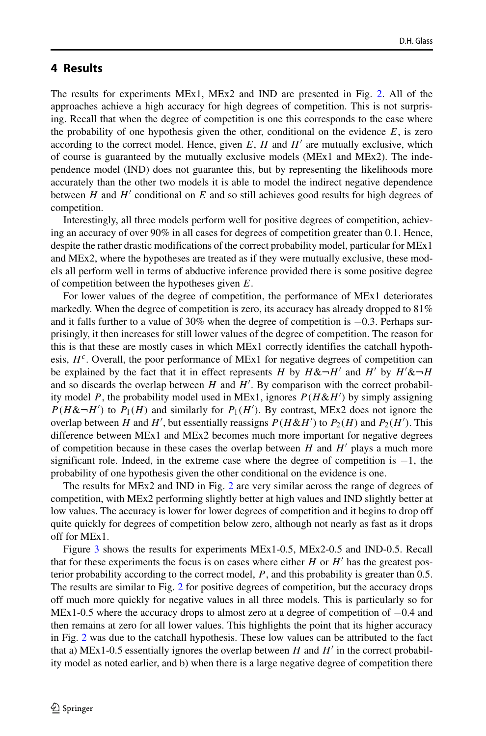## <span id="page-13-0"></span>**4 Results**

The results for experiments MEx1, MEx2 and IND are presented in Fig. [2.](#page-14-0) All of the approaches achieve a high accuracy for high degrees of competition. This is not surprising. Recall that when the degree of competition is one this corresponds to the case where the probability of one hypothesis given the other, conditional on the evidence *E*, is zero according to the correct model. Hence, given  $E$ ,  $H$  and  $H'$  are mutually exclusive, which of course is guaranteed by the mutually exclusive models (MEx1 and MEx2). The independence model (IND) does not guarantee this, but by representing the likelihoods more accurately than the other two models it is able to model the indirect negative dependence between  $H$  and  $H'$  conditional on  $E$  and so still achieves good results for high degrees of competition.

Interestingly, all three models perform well for positive degrees of competition, achieving an accuracy of over 90% in all cases for degrees of competition greater than 0.1. Hence, despite the rather drastic modifications of the correct probability model, particular for MEx1 and MEx2, where the hypotheses are treated as if they were mutually exclusive, these models all perform well in terms of abductive inference provided there is some positive degree of competition between the hypotheses given *E*.

For lower values of the degree of competition, the performance of MEx1 deteriorates markedly. When the degree of competition is zero, its accuracy has already dropped to 81% and it falls further to a value of 30% when the degree of competition is −0.3. Perhaps surprisingly, it then increases for still lower values of the degree of competition. The reason for this is that these are mostly cases in which MEx1 correctly identifies the catchall hypothesis, *Hc*. Overall, the poor performance of MEx1 for negative degrees of competition can be explained by the fact that it in effect represents *H* by  $H\&\neg H'$  and  $H'$  by  $H'\&\neg H$ and so discards the overlap between *H* and *H* . By comparison with the correct probability model *P*, the probability model used in MEx1, ignores *P (H*&*H )* by simply assigning  $P(H \& \neg H')$  to  $P_1(H)$  and similarly for  $P_1(H')$ . By contrast, MEx2 does not ignore the overlap between *H* and *H*<sup> $\prime$ </sup>, but essentially reassigns *P*(*H&H*<sup> $\prime$ </sup>) to *P*<sub>2</sub>(*H*) and *P*<sub>2</sub>(*H*<sup> $\prime$ </sup>). This difference between MEx1 and MEx2 becomes much more important for negative degrees of competition because in these cases the overlap between  $H$  and  $H'$  plays a much more significant role. Indeed, in the extreme case where the degree of competition is −1, the probability of one hypothesis given the other conditional on the evidence is one.

The results for MEx2 and IND in Fig. [2](#page-14-0) are very similar across the range of degrees of competition, with MEx2 performing slightly better at high values and IND slightly better at low values. The accuracy is lower for lower degrees of competition and it begins to drop off quite quickly for degrees of competition below zero, although not nearly as fast as it drops off for MEx1.

Figure [3](#page-14-1) shows the results for experiments MEx1-0.5, MEx2-0.5 and IND-0.5. Recall that for these experiments the focus is on cases where either  $H$  or  $H'$  has the greatest posterior probability according to the correct model, *P*, and this probability is greater than 0.5. The results are similar to Fig. [2](#page-14-0) for positive degrees of competition, but the accuracy drops off much more quickly for negative values in all three models. This is particularly so for MEx1-0.5 where the accuracy drops to almost zero at a degree of competition of −0.4 and then remains at zero for all lower values. This highlights the point that its higher accuracy in Fig. [2](#page-14-0) was due to the catchall hypothesis. These low values can be attributed to the fact that a) MEx1-0.5 essentially ignores the overlap between *H* and  $H'$  in the correct probability model as noted earlier, and b) when there is a large negative degree of competition there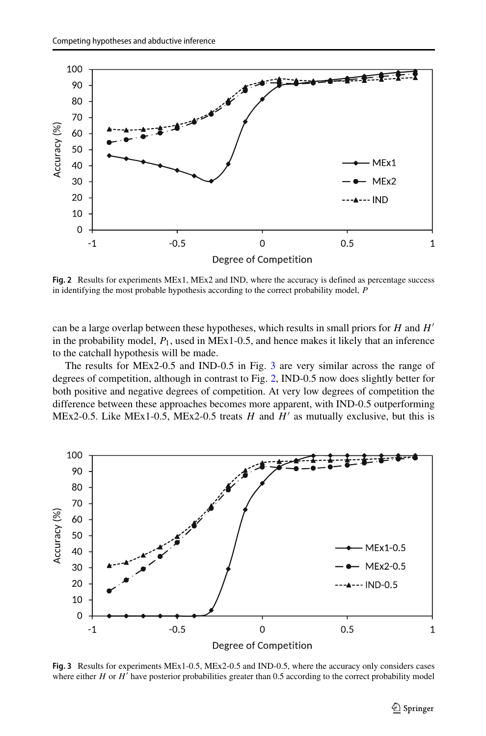<span id="page-14-0"></span>

**Fig. 2** Results for experiments MEx1, MEx2 and IND, where the accuracy is defined as percentage success in identifying the most probable hypothesis according to the correct probability model, *P*

can be a large overlap between these hypotheses, which results in small priors for *H* and *H* in the probability model,  $P_1$ , used in MEx1-0.5, and hence makes it likely that an inference to the catchall hypothesis will be made.

The results for MEx2-0.5 and IND-0.5 in Fig. [3](#page-14-1) are very similar across the range of degrees of competition, although in contrast to Fig. [2,](#page-14-0) IND-0.5 now does slightly better for both positive and negative degrees of competition. At very low degrees of competition the difference between these approaches becomes more apparent, with IND-0.5 outperforming MEx2-0.5. Like MEx1-0.5, MEx2-0.5 treats  $H$  and  $H'$  as mutually exclusive, but this is

<span id="page-14-1"></span>

**Fig. 3** Results for experiments MEx1-0.5, MEx2-0.5 and IND-0.5, where the accuracy only considers cases where either  $H$  or  $H'$  have posterior probabilities greater than 0.5 according to the correct probability model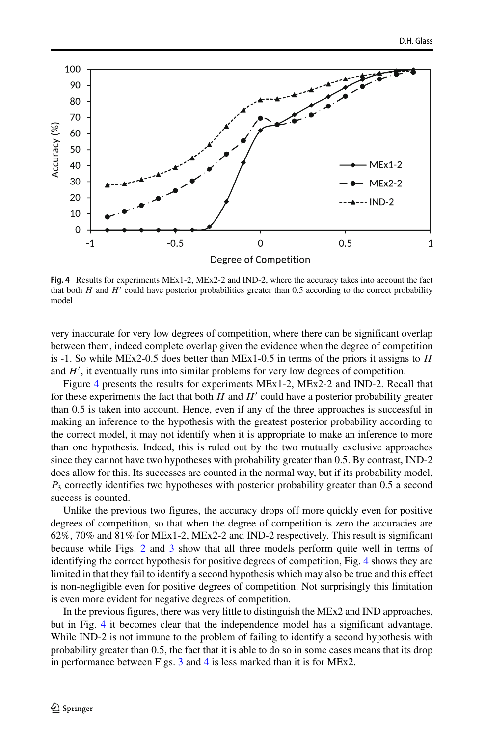<span id="page-15-0"></span>

**Fig. 4** Results for experiments MEx1-2, MEx2-2 and IND-2, where the accuracy takes into account the fact that both *H* and *H'* could have posterior probabilities greater than 0.5 according to the correct probability model

very inaccurate for very low degrees of competition, where there can be significant overlap between them, indeed complete overlap given the evidence when the degree of competition is -1. So while MEx2-0.5 does better than MEx1-0.5 in terms of the priors it assigns to *H* and *H* , it eventually runs into similar problems for very low degrees of competition.

Figure [4](#page-15-0) presents the results for experiments MEx1-2, MEx2-2 and IND-2. Recall that for these experiments the fact that both  $H$  and  $H'$  could have a posterior probability greater than 0.5 is taken into account. Hence, even if any of the three approaches is successful in making an inference to the hypothesis with the greatest posterior probability according to the correct model, it may not identify when it is appropriate to make an inference to more than one hypothesis. Indeed, this is ruled out by the two mutually exclusive approaches since they cannot have two hypotheses with probability greater than 0.5. By contrast, IND-2 does allow for this. Its successes are counted in the normal way, but if its probability model, *P*<sup>3</sup> correctly identifies two hypotheses with posterior probability greater than 0.5 a second success is counted.

Unlike the previous two figures, the accuracy drops off more quickly even for positive degrees of competition, so that when the degree of competition is zero the accuracies are 62%, 70% and 81% for MEx1-2, MEx2-2 and IND-2 respectively. This result is significant because while Figs. [2](#page-14-0) and [3](#page-14-1) show that all three models perform quite well in terms of identifying the correct hypothesis for positive degrees of competition, Fig. [4](#page-15-0) shows they are limited in that they fail to identify a second hypothesis which may also be true and this effect is non-negligible even for positive degrees of competition. Not surprisingly this limitation is even more evident for negative degrees of competition.

In the previous figures, there was very little to distinguish the MEx2 and IND approaches, but in Fig. [4](#page-15-0) it becomes clear that the independence model has a significant advantage. While IND-2 is not immune to the problem of failing to identify a second hypothesis with probability greater than 0.5, the fact that it is able to do so in some cases means that its drop in performance between Figs. [3](#page-14-1) and [4](#page-15-0) is less marked than it is for MEx2.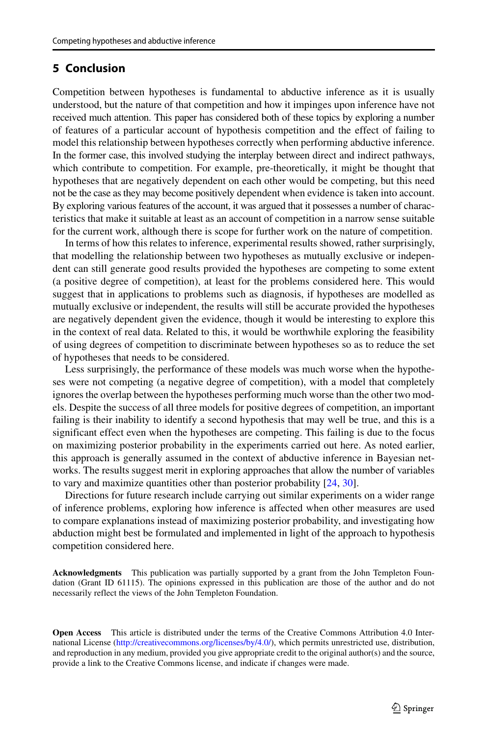### **5 Conclusion**

Competition between hypotheses is fundamental to abductive inference as it is usually understood, but the nature of that competition and how it impinges upon inference have not received much attention. This paper has considered both of these topics by exploring a number of features of a particular account of hypothesis competition and the effect of failing to model this relationship between hypotheses correctly when performing abductive inference. In the former case, this involved studying the interplay between direct and indirect pathways, which contribute to competition. For example, pre-theoretically, it might be thought that hypotheses that are negatively dependent on each other would be competing, but this need not be the case as they may become positively dependent when evidence is taken into account. By exploring various features of the account, it was argued that it possesses a number of characteristics that make it suitable at least as an account of competition in a narrow sense suitable for the current work, although there is scope for further work on the nature of competition.

In terms of how this relates to inference, experimental results showed, rather surprisingly, that modelling the relationship between two hypotheses as mutually exclusive or independent can still generate good results provided the hypotheses are competing to some extent (a positive degree of competition), at least for the problems considered here. This would suggest that in applications to problems such as diagnosis, if hypotheses are modelled as mutually exclusive or independent, the results will still be accurate provided the hypotheses are negatively dependent given the evidence, though it would be interesting to explore this in the context of real data. Related to this, it would be worthwhile exploring the feasibility of using degrees of competition to discriminate between hypotheses so as to reduce the set of hypotheses that needs to be considered.

Less surprisingly, the performance of these models was much worse when the hypotheses were not competing (a negative degree of competition), with a model that completely ignores the overlap between the hypotheses performing much worse than the other two models. Despite the success of all three models for positive degrees of competition, an important failing is their inability to identify a second hypothesis that may well be true, and this is a significant effect even when the hypotheses are competing. This failing is due to the focus on maximizing posterior probability in the experiments carried out here. As noted earlier, this approach is generally assumed in the context of abductive inference in Bayesian networks. The results suggest merit in exploring approaches that allow the number of variables to vary and maximize quantities other than posterior probability [\[24,](#page-17-16) [30\]](#page-17-23).

Directions for future research include carrying out similar experiments on a wider range of inference problems, exploring how inference is affected when other measures are used to compare explanations instead of maximizing posterior probability, and investigating how abduction might best be formulated and implemented in light of the approach to hypothesis competition considered here.

**Acknowledgments** This publication was partially supported by a grant from the John Templeton Foundation (Grant ID 61115). The opinions expressed in this publication are those of the author and do not necessarily reflect the views of the John Templeton Foundation.

**Open Access** This article is distributed under the terms of the Creative Commons Attribution 4.0 International License [\(http://creativecommons.org/licenses/by/4.0/\)](http://creativecommons.org/licenses/by/4.0/), which permits unrestricted use, distribution, and reproduction in any medium, provided you give appropriate credit to the original author(s) and the source, provide a link to the Creative Commons license, and indicate if changes were made.